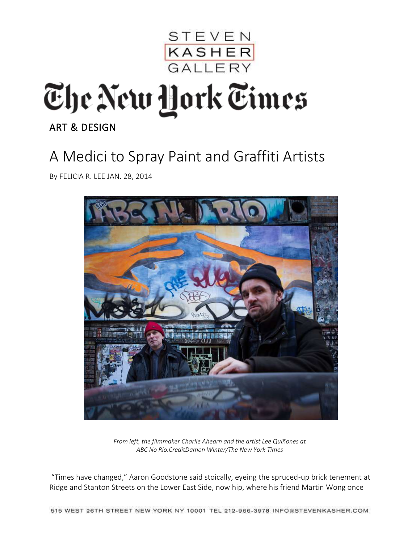

## The New York Times

[ART & DESIGN](http://www.nytimes.com/pages/arts/design/index.html) 

## A Medici to Spray Paint and Graffiti Artists

By [FELICIA R. LEE](http://topics.nytimes.com/top/reference/timestopics/people/l/felicia_r_lee/index.html) JAN. 28, 2014



*From left, the filmmaker Charlie Ahearn and the artist Lee Quiñones at ABC No Rio.CreditDamon Winter/The New York Times*

"Times have changed," Aaron Goodstone said stoically, eyeing the spruced-up brick tenement at Ridge and Stanton Streets on the Lower East Side, now hip, where his friend Martin Wong once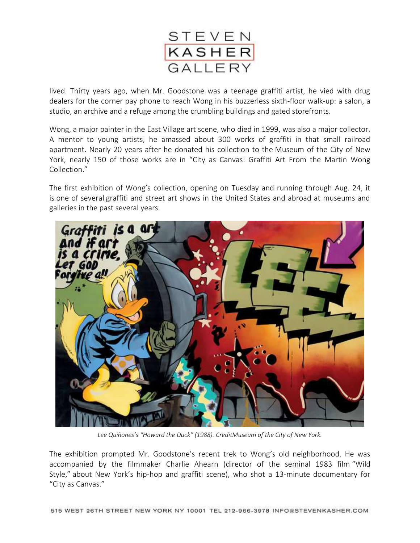

lived. Thirty years ago, when Mr. Goodstone was a teenage graffiti artist, he vied with drug dealers for the corner pay phone to reach Wong in his buzzerless sixth-floor walk-up: a salon, a studio, an archive and a refuge among the crumbling buildings and gated storefronts.

Wong, a major painter in the East Village art scene, who [died in 1999,](http://www.nytimes.com/1999/08/18/arts/martin-wong-is-dead-at-53-a-painter-of-poetic-realism.html) was also a major collector. A mentor to young artists, he amassed about 300 works of graffiti in that small railroad apartment. Nearly 20 years after he donated his collection to the [Museum of the City of New](http://topics.nytimes.com/top/reference/timestopics/organizations/m/museum_of_the_city_of_new_york/index.html?inline=nyt-org)  [York](http://topics.nytimes.com/top/reference/timestopics/organizations/m/museum_of_the_city_of_new_york/index.html?inline=nyt-org), nearly 150 of those works are in "[City as Canvas:](http://www.mcny.org/content/city-canvas) Graffiti Art From the Martin Wong Collection."

The first exhibition of Wong's collection, opening on Tuesday and running through Aug. 24, it is [one of several](http://www.nytimes.com/2009/06/10/arts/10iht-rcartgraff.html?pagewanted=all&_r=0) graffiti and street art shows in the United States and abroad at museums and galleries in the past several years.



*Lee Quiñones's "Howard the Duck" (1988). CreditMuseum of the City of New York.*

The exhibition prompted Mr. Goodstone's recent trek to Wong's old neighborhood. He was accompanied by the filmmaker Charlie Ahearn (director of the seminal 1983 film ["Wild](http://cityroom.blogs.nytimes.com/2008/11/11/the-wild-style-of-hip-hop-at-25/)  Sty[le,"](http://cityroom.blogs.nytimes.com/2008/11/11/the-wild-style-of-hip-hop-at-25/) about New York's hip-hop and graffiti scene), who shot a 13-minute documentary for "City as Canvas."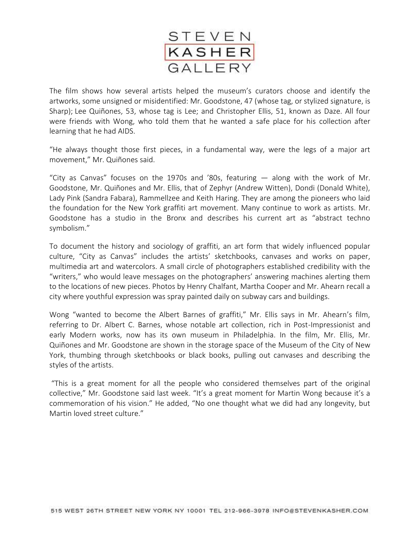

The film shows how several artists helped the museum's curators choose and identify the artworks, some unsigned or misidentified: Mr. Goodstone, 47 (whose tag, or stylized signature, is Sharp); [Lee Quiñones,](http://leequinones.com/) 53, whose tag is Lee; and Christopher Ellis, 51, known as Daze. All four were friends with Wong, who told them that he wanted a safe place for his collection after learning that he had AIDS.

"He always thought those first pieces, in a fundamental way, were the legs of a major art movement," Mr. Quiñones said.

"City as Canvas" focuses on the 1970s and '80s, featuring  $-$  along with the work of Mr. Goodstone, Mr. Quiñones and Mr. Ellis, that of Zephyr (Andrew Witten), Dondi (Donald White), Lady Pink (Sandra Fabara), Rammellzee and Keith Haring. They are among the pioneers who laid the foundation for the New York graffiti art movement. Many continue to work as artists. Mr. Goodstone has a studio in the Bronx and describes his current art as "abstract techno symbolism."

To document the history and sociology of graffiti, an art form that widely influenced popular culture, "City as Canvas" includes the artists' sketchbooks, canvases and works on paper, multimedia art and watercolors. A small circle of photographers established credibility with the "writers," who would leave messages on the photographers' answering machines alerting them to the locations of new pieces. Photos by Henry Chalfant, Martha Cooper and Mr. Ahearn recall a city where youthful expression was spray painted daily on subway cars and buildings.

Wong "wanted to become the Albert Barnes of graffiti," Mr. Ellis says in Mr. Ahearn's film, referring to Dr. Albert C. Barnes, whose notable art collection, rich in Post-Impressionist and early Modern works, now has its own museum in Philadelphia. In the film, Mr. Ellis, Mr. Quiñones and Mr. Goodstone are shown in the storage space of the Museum of the City of New York, thumbing through sketchbooks or black books, pulling out canvases and describing the styles of the artists.

"This is a great moment for all the people who considered themselves part of the original collective," Mr. Goodstone said last week. "It's a great moment for Martin Wong because it's a commemoration of his vision." He added, "No one thought what we did had any longevity, but Martin loved street culture."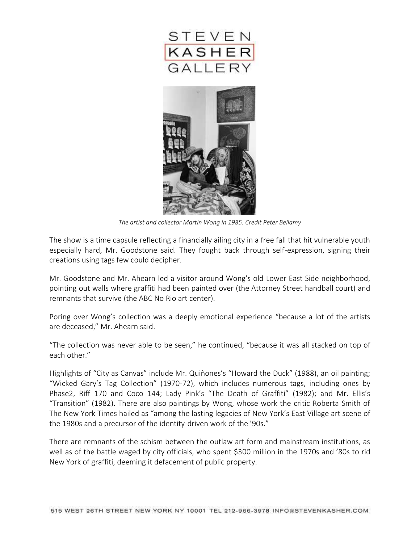



*The artist and collector Martin Wong in 1985. Credit Peter Bellamy*

The show is a time capsule reflecting a financially ailing city in a free fall that hit vulnerable youth especially hard, Mr. Goodstone said. They fought back through self-expression, signing their creations using tags few could decipher.

Mr. Goodstone and Mr. Ahearn led a visitor around Wong's old Lower East Side neighborhood, pointing out walls where graffiti had been painted over (the [Attorney Street handball court\)](http://www.metmuseum.org/collections/search-the-collections/483000) and remnants that survive (the ABC No Rio art center).

Poring over Wong's collection was a deeply emotional experience "because a lot of the artists are deceased," Mr. Ahearn said.

"The collection was never able to be seen," he continued, "because it was all stacked on top of each other."

Highlights of "City as Canvas" include Mr. Quiñones's "Howard the Duck" (1988), an oil painting; "Wicked Gary's Tag Collection" (1970-72), which includes numerous tags, including ones by Phase2, Riff 170 and Coco 144; Lady Pink's "The Death of Graffiti" (1982); and Mr. Ellis's "Transition" (1982). There are also paintings by Wong, whose work the critic Roberta Smith of The New York Times hailed as "among the lasting legacies of New York's East Village art scene of the 1980s and a precursor of the identity-driven work of the '90s."

There are remnants of the schism between the outlaw art form and mainstream institutions, as well as of the battle waged by city officials, who spent \$300 million in the 1970s and '80s to rid New York of graffiti, deeming it defacement of public property.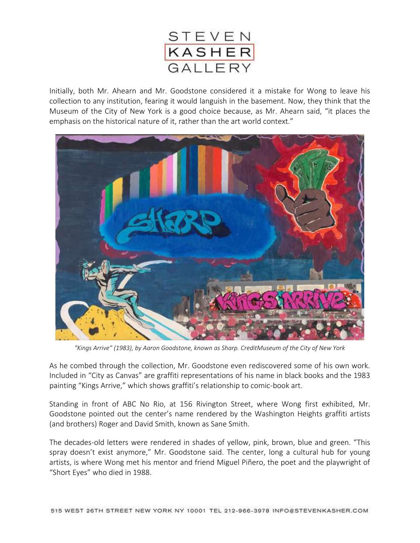

Initially, both Mr. Ahearn and Mr. Goodstone considered it a mistake for Wong to leave his collection to any institution, fearing it would languish in the basement. Now, they think that the Museum of the City of New York is a good choice because, as Mr. Ahearn said, "it places the emphasis on the historical nature of it, rather than the art world context."



*"Kings Arrive" (1983), by Aaron Goodstone, known as Sharp. CreditMuseum of the City of New York*

As he combed through the collection, Mr. Goodstone even rediscovered some of his own work. Included in "City as Canvas" are graffiti representations of his name in black books and the 1983 painting "[Kings Arrive](http://collections.mcny.org/Collection/%5BKings-arrive.%5D-2F3XC5M32U3.html)," which shows graffiti's relationship to comic-book art.

Standing in front of ABC No Rio, at 156 Rivington Street, where Wong first exhibited, Mr. Goodstone pointed out the center's name rendered by the Washington Heights graffiti artists (and brothers) Roger and David Smith, known as Sane Smith.

The decades-old letters were rendered in shades of yellow, pink, brown, blue and green. "This spray doesn't exist anymore," Mr. Goodstone said. The center, long a cultural hub for young artists, is where Wong met his mentor and friend Miguel Piñero, the poet and the playwright of "Short Eyes" who died in 1988.